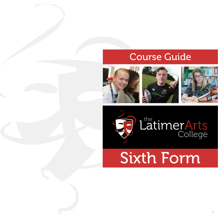### Course Guide









Sixth Form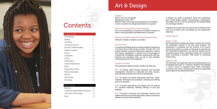

## **Contents**

AQA A-Level Art and Design Specification Code: 7201 Website: https://www.aqa.org.uk/subjects/art-and-design/ as-and-a-level/art-and-design/specification-at-a-glance

#### Minimum Overall Entry Requirements

For an A-Level pathway a minimum of 6 GCSEs at Grade 5 or above, including English and Mathematics is required.

#### Minimum Subject Specific Entry Requirements

GCSE Art, Textiles or Graphics at Grade 5

#### Course Aims

A-Level Art and Design aims to increase a student's experience of working with a broad range of media. Through this it will enable a student to develop intellectual, imaginative, creative and intuitive capabilities. A student will be encouraged to increase their investigative, analytical, experimental, practical, technical and expressive skills, as well as their aesthetic understanding and critical judgement.

A student can adopt a specialism within this qualification from: textile design; graphic communication; photography; 3D design; fine art or can be entered for the broader based Art and Design element.

#### Course Content

The assessment objectives that a student will study are:

AO1: To develop ideas through sustained and focussed investigations informed by contextual and other sources, demonstrating analytical and critical understanding.

AO2: To explore and select appropriate resources, media, materials, techniques and processes, reviewing and refining work as it develops.

AO3: To record observations and insights that are relevant to a student's intentions, reflecting critically on work and progress.

AO4: To present a personal and meaningful response that realises intentions and, where appropriate, makes connections between visual and other elements.

## Art & Design

#### **Syllabus**

A student will choose their own themes and contexts for their work but all project work will address the four assessment objectives.

#### Examinations

#### Module 1: 60%

Work presented for assessment draws on topics from across the qualification relevant to the title being followed. The assessment is completed over the duration of the course. Assessment evidence consists of responses to internally set and negotiated assignments and personal starting points, including practical work, supporting studies and a personal study comprising a minimum 1000 words of continuous written prose.

#### Module 2: 40%

The externally set assignment theme and starting points will be released each year, on 1 February. Students will undertake a 15-hour period of sustained focus under examination conditions over 3 days. Students are not able to access their work outside of the assessment period.

| <b>A Level Courses</b>     |    |
|----------------------------|----|
| Art & Design               | 3  |
| Biology                    | 4  |
| Chemistry                  | 5  |
| Computer Science           | 6  |
| Drama & Theatre Studies    | 7  |
| English Literature         | 8  |
| French                     | 9  |
| Geography                  | 10 |
| History                    | 11 |
| Mathematics                | 12 |
| <b>Further Mathematics</b> | 13 |
| Music                      | 14 |
| Philosophy & Ethics        | 15 |
| <b>Physical Education</b>  | 16 |
| Physics                    | 17 |
| Psychology                 | 18 |
| Sociology                  | 19 |

#### BTEC Courses

| <b>Business</b>                     | 20   |
|-------------------------------------|------|
| Creative & Digital Media Production | - 21 |
| Information Technology              | 22   |
| Sport                               | 23   |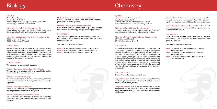OCR A-Level Biology Specification Code: H420 Website: https://www.ocr.org.uk/qualifications/as-and-alevel/biology-a-h020-h420-from-2015/

#### Minimum Overall Entry Requirements

For an A-Level pathway a minimum of 6 GCSEs at Grade 5 or above, including English and Mathematics is required.

Minimum Subject Specific Entry Requirements GCSE Science at Grade 6 GCSE Mathematics at Grade 6

#### Course Aims

A-Level Biology aims to develop a student's interest in, and enthusiasm for, the subject, including developing their interest in further study and careers associated with the subject. It will allow a student to understand how society makes decisions about scientific issues and how the sciences contribute to the success of the economy and society.

#### Course Content

The modules that a student will study are:

#### Module 1 Development of practical skills in biology

The importance of practical skills is assessed in the written exams and in the practical endorsement.

#### Module 2 Foundations in biology

Cell structure, biological molecules, nucleic acids, enzymes, biological membranes, cell division, cell diversity and cellular organisation.

#### Module 3 Exchange and transport

Structure and function of gas exchange and transport systems in a range of animals and in terrestrial plants.

#### Module 4 Biodiversity, evolution and disease

The biodiversity of organisms, classification, measuring biodiversity, pathogens and the evolution of animal and plant defences.

## Biology

# **Chemistry**

#### Module 5 Communication, homeostasis and energy

Nerves, hormones, the kidney, plant and animal responses, photosynthesis and respiration.

#### Module 6 Genetics, evolution and ecosystems

DNA, protein synthesis, manipulation of genomes, variation and genetics, biotechnology, ecosystems and populations.

#### Examinations

There are sixteen practical tasks which form the practical endorsement. This is reported separately from the overall grade as a pass/fail.

There are three examined modules:

Paper 1 Biological Processes - 2 hours 15 minutes 37% Paper 2 Biological Diversity - 2 hours 15 minutes 37% Paper 3 Unified Biology - 1 hour 30 minutes 26%

#### **Syllabus**

Paper 1 Advanced Inorganic and Physical Chemistry 1 hour 45 minutes 30% Paper 2 Advanced Organic and Physical Chemistry 1 hour 45 minutes 30% Paper 3 General and Practical Principles in Chemistry 2 hours 30 minutes 40%

Pearson Edexcel A-Level Chemistry Specification Code: 9CHO Website: https://qualifications.pearson.com/en/ qualifications/edexcel-a-levels/chemistry-2015.html

#### Minimum Overall Entry Requirements

For an A-Level pathway a minimum of 6 GCSEs at Grade 5 or above, including English and Mathematics is required.

#### Minimum Subject Specific Entry Requirements

GCSE Science at Grade 6 GCSE Mathematics at Grade 6

#### Course Aims

A-Level Chemistry covers aspects of all the three branches of the subject and aims to enable a student to develop the essential knowledge and understanding of each and how they relate to each other. A student will be encouraged to develop a deep appreciation of the skills, knowledge and understanding of scientific methods and show competence and confidence in a variety of practical, mathematical and problem-solving skills. A student will gain an understanding of how society makes decisions about scientific issues and how the sciences contribute to the success of the economy and society.

#### Course Content

The modules that a student will study are:

Organic Chemistry: Year 12 focuses on the study of common functional groups and their reactions. In Year 13, the focus is on mechanisms and synthesis.

Inorganic Chemistry: Year 12 focuses on reactions of groups one and two and the halogens. In Year 13, the focus is on the study of transition metals and their complexes, their reactions and colours.

Physical: Year 12 focuses on atomic structure, bonding, energetics and shapes of molecules. In Year 13 the focus is on equilibrium, reaction rates, acid-base chemistry and entropy.

Modern Analytical Techniques: Discover how infrared, NMR and Mass spectroscopy can be used to analyse the chemical composition of a sample.

#### Examinations

There are sixteen practical tasks which form the practical endorsement. This is reported separately from the overall grade as a pass/fail.

There are three examined modules: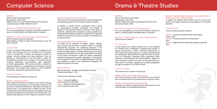

OCR A-Level Computer Science Specification Code: H446 Website: https://ocr.org.uk/qualifications/as-a-level-gce/ computer-science-h046-h446-from-2015/

#### Minimum Overall Entry Requirements

For an A-Level pathway a minimum of 6 GCSEs at Grade 5 or above, including English and Mathematics is required.

#### Minimum Subject Specific Entry Requirements

GCSE Computer Science at Grade 6 GCSE Maths at Grade 6 where Computer Science was not taken at GCSE

#### Course Aims

A-Level Computer Science above all else, is relevant to the modern and changing world of computing and technology. It aims to ensure that a student will develop the ability to analyse, critically evaluate and make decisions. They will develop an understanding of, and the ability to apply, the fundamental principles and concepts of Computer Science including: abstraction, decomposition, logic, algorithms and data representation. This course will allow a student to analyse problems in computational terms through practical experience and develop their capacity to think creatively, innovatively, analytically, logically and critically.

#### Course Content

The modules that a student will study are:

#### Module 1 Computer Systems

This module will introduce a student to the internal workings of the Central Processing Unit, the exchange of data and will also look at software development, data types and legal and ethical issues. It is expected that a student will draw on this underpinning content when studying computational thinking, developing programming techniques and devising their own programming approach in their Programming project module.

### Computer Science

#### Module 2 Algorithms and Programming

This module will incorporate and build on the knowledge and understanding gained in the Computer Systems module.

In addition, a student should: understand what is meant by computational thinking; understand the benefits of applying computational thinking to solving a wide variety of problems; understand the principles of solving problems by computational methods; be able to use algorithms to describe problems and be able to analyse a problem by identifying its component parts.

#### NEA Programming Project (coursework)

A student will be expected to analyse, design, develop, test, evaluate and document a program written in a suitable programming language. The underlying approach to the project is to apply the principles of computational thinking to a practical coding problem. A student will be expected to apply appropriate principles from an agile development approach to the project development. While the project assessment criteria are organised into specific categories, it is anticipated the final report will document the agile development process and elements for each of the assessment categories will appear throughout the report.

#### Examinations

NEA (coursework): Students will complete a 20-hour Programming Project - 20%

There are two examined modules:

Paper 1 Computer Systems 2 hours and 30 minutes 40% Paper 2 Algorithms and Programming 2 hours and 30 minutes 40%

#### **Syllabus**

AQA A-Level Drama and Theatre Specification Code: 7262 Website: https://www.aqa.org.uk/subjects/drama/a-level/ drama-and-theatre-7262

#### Minimum Overall Entry Requirements

For an A-Level pathway a minimum of 6 GCSEs at Grade 5 or above, including English and Mathematics is required.

Minimum Subject Specific Entry Requirements GCSE Drama at Grade 5

#### Course Aims

A-Level Drama and Theatre Studies aims to be invaluable to a student who is interested in furthering their studies or gaining employment in drama, theatrical performance or other areas of the performing arts. It is widely recognised that the transferable skills obtained through the study of drama, such as co-operation, negotiation skills, presentation skills, increased self-awareness and self-confidence, appeal to many employers outside the world of the performing arts. This course is exciting, engaging and excellent preparation for higher education or the world of work.

#### Course Content

The modules that a student will study are:

#### Module 1 Drama and Theatre (written exam)

This module focusses on the work explored for two set texts and a live performance that has been seen during the course.

#### Module 2 Creating original drama (devising)

A student will create an original piece of drama based on the methodologies of a prescribed practitioner.

### Drama & Theatre Studies

Module 3 Making theatre (exploration and performance of extracts taken from published plays)

A student will explore three extracts over the course and perform one extract influenced by a practitioner, for a visiting examiner.

#### Examinations

There are three examined modules:

Module 1 Drama and Theatre Written Examination 3 hours 40% Module 2 Creating Original Drama (practical) 30% Module 3 Making Theatre (externally assessed practical) 30%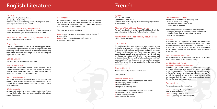### English Literature **English Literature French**

#### Syllabus

AQA A-Level English Literature A Specification Code: 7712 Website: https://www.aqa.org.uk/subjects/english/as-and-alevel/english-literature-a-7711-7712

#### Minimum Overall Entry Requirements

For an A-Level pathway a minimum of 6 GCSEs at Grade 5 or above, including English and Mathematics is required.

Minimum Subject Specific Entry Requirements GCSE English Literature at Grade 5

#### Course Aims

A-Level English Literature aims to provide the opportunity for a student to experience and explore a range of texts from the literary canon. The subject will allow a student to develop their critical skills and knowledge and it will encourage an enjoyment of the subject.

#### Course Content

The modules that a student will study are:

#### Love Through the Ages

A student will develop their knowledge and understanding of the theme of love through the ages. They will take a historicist approach when studying a variety of prose, unseen poetry, a poetry anthology and a Shakespeare play.

#### Texts in Shared Contexts

A student will explore how the issues of the 20th and 21st centuries have shaped and influenced modern literary works through the study of a collection of poetry, unseen prose, a novel and a play.

#### NEA (coursework)

- The changing nature of family
- The 'cyber-society'
- The place of voluntary work

A student will undertake an independent exploration of a text of their choice where they are encouraged to enter into an academic debate.

AQA A-Level French Specification Code: 7652 Website: http://www.aqa.org.uk/subjects/languages/as-anda-level/french-7652

#### Minimum Overall Entry Requirements

For an A-Level pathway a minimum of 6 GCSEs at Grade 5 or above, including English and Mathematics is required.

Minimum Subject Specific Entry Requirements GCSE French at Grade 5

#### Course Aims

A-Level French has been developed with teachers to aim to inspire, challenge and motivate a student, enabling them to broaden their horizons and increase cultural knowledge. A student will focus on how French-speaking society has been shaped, socially and culturally, and how it continues to change. A student will develop their knowledge and understanding of themes relating to the culture and society of countries where French is spoken and increase their language skills. They will do this by using authentic spoken and written sources in French.

#### Course Content

The modules that a student will study are:

Core Content:

#### Social Issues and Trends

Aspects of French-speaking society: current trends

Aspects of French-speaking society: current issues

- Positive features of a diverse society
- Life for the marginalised
- How criminals are treated

#### Political and Artistic Culture:

Artistic culture in the French-speaking world

- A culture proud of its heritage
- Contemporary francophone music
- Cinema: the 7th art form

Aspects of political life in the French-speaking world

- Teenagers, the right to vote and political commitment
- Demonstrations, strikes who holds the power?
- Politics and immigration

#### Grammar

A student will be expected to study the grammatical system and structures of the language during their course. Knowledge of the grammar and structures specified for GCSE is assumed. In the exam a student will be required to use. actively and accurately, grammar and structures appropriate to the tasks set.

#### Works – Literary Texts and Films

A student must study either one text and one film or two texts from the lists published by the exam board.

#### Individual Research Project

#### (this forms part of the speaking exam)

A student must identify a subject or a key question which is of interest to them and which relates to a country or countries where French is spoken. They must select relevant information in French from a range of sources including the internet. The aim of the research project is to develop research skills, summarising their findings, in order to present and discuss them in the speaking assessment.

#### Examinations

There are three examined modules:

Paper 1 Listening, Reading and Writing 2 hours 30 minutes 50% Paper 2 Writing - 2 hours 20% Paper 3 Speaking - 21-23 minutes 30%

#### Examinations

NEA (coursework): This is a comparative critical study of two texts, at least one of which must have been written pre-1900. The coursework folder will consist of one extended essay of 2500 words and a bibliography – 20%

There are two examined modules:

Paper 1 Love Through the Ages (Open book in Section C) 3 hours 40% Paper 2 Texts in Shared Contexts (Open book) 2 hours 30 minutes 40%

#### **Syllabus**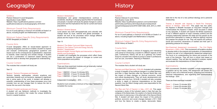#### Module 3 Globalisation

Globalisation and global interdependence continue to accelerate, resulting in changing opportunities for businesses and people. A student will study the global changes to culture and power and the implications this has for current and future populations.

#### Module 4 Diverse Spaces

Local places vary both demographically and culturally with change driven by local, national and global processes. A student will look at the processes which change different places and the impact it has on society.

Year 13

Module 5 The Water Cycle and Water Insecurity Module 6 The Carbon Cycle and Energy Security Module 7 Superpowers Module 8 Health, Human Rights and Intervention or Migration, **Identity and Sovereignty** A student will investigate the processes which affect these

topics and consider the impact of changes on current and future populations and politics.

#### Examinations

There are three examined modules and an externally marked independent investigation:

Paper 1 9GEO01- 2 hours 15 minutes 30% Paper 2 9GEO02 - 2 hours 15 minutes 30% Paper 3 9GEO03 – 2 hours 15 minutes 20%

Independent Investigation - 20%

Students must complete a minimum of four days' fieldwork to complete the course.

#### **Syllabus**

## Geography History

#### Syllabus

Pearson Edexcel A-Level Geography Specification Code: 9GEO Website: https://qualifications.pearson.com/en/ qualifications/edexcel-a-levels/geography-2016.html

#### Minimum Overall Entry Requirements

For an A-Level pathway a minimum of 6 GCSEs at Grade 5 or above, including English and Mathematics is required.

Minimum Subject Specific Entry Requirements GCSE Geography at Grade 5

#### Course Aims

A-Level Geography offers an issues-based approach to studying Geography, and aims to enable a student to explore and evaluate contemporary geographical questions and issues such as the consequences of globalisation, responses to hazards, water insecurity and climate change. A student will use a combination of classroom based learning and fieldwork skills to develop their geographical understanding.

#### Course Content

The modules that a student will study are:

Year 12

#### Module 1 Tectonic Processes and Hazards

Tectonic hazards, earthquakes, volcanic eruptions and secondary hazards such as tsunamis, represent a significant risk in some parts of the world. A student will develop a scientific understanding of how these processes occur and consider how we can manage them to reduce the risk to human life now and in the future.

#### Module 2 Coastal Landscape and Change

A student will use fieldwork methods to investigate the processes and systems that create the unique landforms found in coastal locations.

Pearson Edexcel A-Level History Specification Code: 9H10 Website: https://qualifications.pearson.com/content/dam/ pdf/A%20Level/History/2015/Specification%20and%20 sample%20assessments/9781446914366 GCE 2015 A HIST. pdf

#### Minimum Overall Entry Requirements

For an A-Level pathway a minimum of 6 GCSEs at Grade 5 or above, including English and Mathematics is required.

#### Minimum Subject Specific Entry Requirements GCSE History at Grade 5

#### Course Aims

A-Level History utilises a mixture of engaging and interesting units aimed at introducing a student to different aspects of the past. Furthermore, History will act as a gateway into further study for a student who wishes to pursue a career in professions such as Law, Journalism, Teaching or Research.

#### Course Content

The modules that a student will study are:

Germany and West Germany, 1918–89: A student will undertake a study in breadth of key political changes in a unified Germany and then in West Germany after the Second World War, and the impact of these changes on German economic, social and cultural developments. They will study developments and changes over time from 1918–89. A student will also complete a study in depth of historical interpretations on the broad question: how far Hitler's foreign policy was responsible for the Second World War.

The Rise and Fall of Fascism in Italy, c1911–46: This paper comprises a study of the turbulent years in Italy that saw the collapse of the liberal state, the creation of a fascist dictatorship and a return to democracy in the aftermath of the Second World War. A student will learn about the impact of the profound political, economic and social changes between c1911–1946 and how the failure to create a stable, democratic Italian

state led to the rise of a new political ideology and a personal dictatorship.

Themes in Breadth with Aspects in Depth-The Changing Nature of Warfare, 1859–1991: This paper has two parts: the Aspects in Breadth focusses on long-term changes and contextualises the Aspects in Depth, which focusses in detail on key episodes. A student will explore the British experience of war in different aspects of major overseas conflicts and the changing relationship between the state and the people as the government attempted to create an effective fighting machine and prepare the people for war. They will explore the political, social and economic dimensions of warfare and their part in generating pressure for change.

Non-Examined Assessment (coursework) - The Civil Rights Movement, c1955-c1965: This coursework will enable a student to develop skills in the analysis and evaluation of interpretations of history as part of an independently researched assignment. The focus is on understanding the nature and purpose of the work of the historian. They will form a critical view based on relevant reading. They will also be required to analyse, explain and evaluate the interpretations of three historians.

#### Examinations

NEA (coursework): Students complete a single assignment on a question set by the centre. The assignment will assess the ability to carry out a historical enquiry, analysing and evaluating historical interpretations, and organising and communicating the findings - 20%

There are three examined modules:

Paper 1 - 2 hours 15 minutes 30% Paper 2 - 1 hours 30 minutes 20% Paper 3 - 2 hours 15 minutes 30%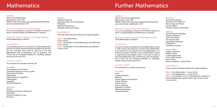AQA A-Level Mathematics Specification Code: 7357 Website: https://www.aqa.org.uk/subjects/mathematics/asand-a-level/mathematics-7357

#### Minimum Overall Entry Requirements

For an A-Level pathway a minimum of 6 GCSEs at Grade 5 or above, including English and Mathematics is required.

Minimum Subject Specific Entry Requirements GCSE Mathematics at Grade 6

#### Course Aims

**Vectors** Quantities and Units in Mechanics Kinematics Forces and Newton's Laws Moments

#### **Statistics**

A-Level Mathematics is a continuation of GCSE Mathematics and aims to further develop existing knowledge and introduce key new concepts. The course is made up of 2/3 Pure Mathematics with 1/6 Mechanics and 1/6 Statistics. The A-Level has an increased emphasis on modelling, problem solving and the use of ICT.

#### Course Content

The modules that a student will study are:

#### Pure Maths

Proof Algebra and Functions Coordinate Geometry in the (x,y) plane Sequences and Series **Trigonometry** Exponentials and Logarithms **Differentiation** Integration Numerical Methods

#### **Mechanics**

Statistical Sampling Data Presentation and Interpretation Probability Statistical Distributions Statistical Hypothesis Testing

#### Examinations

There are three examined modules all of equal weighting:

Paper 1 Pure Mathematics 2 hours 33.3% Paper 2 Combination of Pure Mathematics and Mechanics 2 hours 33.3% Paper 3 Combination of Pure Mathematics and Statistics 2 hours 33.3%

### Mathematics **Further Mathematics**

#### **Syllabus**

AQA A-Level Further Mathematics Specification Code: 7367 Website: https://www.aqa.org.uk/subjects/mathematics/asand-a-level/further-mathematics-7367

#### Minimum Overall Entry Requirements

For an A-Level pathway a minimum of 6 GCSEs at Grade 5 or above, including English and Mathematics is required.

#### Minimum Subject Specific Entry Requirements GCSE Mathematics at Grade 8

#### Course Aims

A student must also be taking the A-Level Mathematics course in order to study this subject as A-Level Further Mathematics is an extension of the content of A-Level Mathematics. It is aimed at a student intending to take a mathematics, science or engineering based degree course. The course is made up of 2/3 Pure Mathmatics with 1/6 Mechanics and 1/6 Statistics. The A-Level has an increased emphasis on modelling, problem solving and the use of ICT.

#### Course Content

The modules that a student will study are:

#### Pure Maths

Proof Complex Numbers **Matrices** Further Algebra and Functions Further Calculus Further Vectors Polar Coordinates Hyperbolic Functions Differential Equations Numerical Method

#### **Mechanics**

Dimensional Analysis Momentum and Collisions Work, Energy and Power Circular Motion Centres of Mass and Moments

#### **Statistics**

Discrete Random Variables Poisson Distribution Type I and II Errors Chi Squared Tests Exponential Distribution t-Distribution Confidence Intervals

#### Discrete Maths

Graphs / Networks Network Flows Linear Programming Critical Path Analysis Game Theory Binary Operations / Group Theory

#### Examinations

There are three examined modules all of equal weighting:

Paper 1 Pure Mathematics - 2 hours 33.3% Paper 2 Pure Mathematics - 2 hours 33.3% Paper 3 A combination of two of the Mechanics, Statistics or Discrete Mathematics options listed in the course content 2 hours 33.3%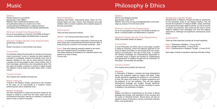Pearson Edexcel A-Level Music Specification Code: 9MUO Website: https://qualifications.pearson.com/ en/qualifications/edexcel-a-levels/music-2016. coursematerials.html#filterQuery=category:Pearson-UK:Category%2FSpecification-and-sample-assessments

#### Minimum Overall Entry Requirements

For an A-Level pathway a minimum of 6 GCSEs at Grade 5 or above, including English and Mathematics is required.

### Minimum Subject Specific Entry Requirements

GCSE Music at Grade 5 or Grade 5 and above in instrumental/vocal exams

#### Course Aims

A-Level Music reflects the demands of a modern and evolving music environment. It aims to develop the skills needed for a student to investigate, analyse and evaluate music and its features. Building on this, and by using practical methods, a student will be encouraged to take a more holistic view of their knowledge, performance and compositional skills. The set works will enable a student to conduct in-depth studies into different musical styles and place these within a wider context.

#### Course Content

The modules that a student will study are:

#### Module 1 Performing

A recital in the Masque Theatre, performed to the members of the class, on an instrument(s) of a student's choice, performing solo and/or ensemble music.

#### Module 2 Composing

One free composition in a style and structure chosen by the student or linked to a brief from the exam board and one compositional technique, learning to compose in a particular style of music or style of composer.

#### Module 3 Appraising

Studying Vocal Music, Instrumental Music, Music for Film, Popular Music and Jazz, Fusions, New Directions and aural dictation skills to answer questions and complete essays for the final examination.

#### Examinations

There are three examined modules:

Module 1: An 8-minute performance recital - 30%

Module 2: A composition set to a free brief or a brief set by the exam board and a compositional technique exercise. Both of these should be a minimum of 6 minutes combined. - 30%.

Exam: Three short listening questions related to set works One short melodic/rhythmic completion exercise Two essay questions (one based on an unfamiliar extract, one based on an area of study). 2 hours 40%

#### **Syllabus**

### Music

OCR A-Level Religious Studies Specification Code: H573 Website: http://www.ocr.org.uk/qualifications/as-a-level-gcereligious-studies-h173-h573-from-2016/

#### Minimum Overall Entry Requirements

For an A-Level pathway a minimum of 6 GCSEs at Grade 5 or above, including English and Mathematics is required.

#### Minimum Subject Specific Entry Requirements GCSE Humanities Subject at Grade 5

#### Course Aims

A-Level Philosophy and Ethics aims to encourage a student to adopt an enquiring, critical and reflective approach to the study of religion and reflect on and develop their own values, opinions and attitudes in the light of their study. A student will develop knowledge and understanding appropriate to a specialist study of religion and develop an understanding and appreciation of religious thought and its contribution to individuals, communities and societies.

#### Course Content

The modules that a student will study are:

#### Philosophy

In Philosophy of Religion, a student will study philosophical issues and questions raised by religion and belief. These include arguments regarding the existence or non-existence of God, the nature and influence of religious experience and the problems of evil and suffering. They will also explore philosophical language and thought, through significant concepts and the works of key thinkers, illustrated in issues or debates in the philosophy of religion.

#### **Ethics**

Religion and Ethics is characterised by the study of ethical language and thought, with exploration of key concepts and the works of influential thinkers. Ethical theory will also be applied to issues of importance, namely: euthanasia, business ethics, and sexual ethics.

#### Developments in Christian Thought

Developments in Religious Thought provides an opportunity for the systematic study of one religious tradition. This will include the exploration of religious beliefs, values, teachings and practices that shape religious identity, as well as sources of wisdom and authority. Also central are the ways in which religious traditions have developed over time and religious responses to challenges and significant contemporary social issues.

#### Examinations

There are three examined modules all of equal weighting:

- Paper 1 Philosophy of Religion 2 hours 33.3%
- Paper 2 Religion and Ethics 2 hours 33.3%
- Paper 3 Developments in Religious Thought 2 hours 33.3%

Each paper consists of questions requiring extended writing.

## Philosophy & Ethics

#### **Syllabus**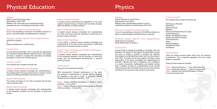AQA A-Level Physical Education Specification Code: 7582 Website: http://www.aqa.org.uk/subjects/physicaleducation/as-and-a-level/physical-education-7582

#### Minimum Overall Entry Requirements

For an A-Level pathway a minimum of 6 GCSEs at Grade 5 or above, including English and Mathematics is required.

Minimum Subject Specific Entry Requirements GCSE PE at Grade 5 or Distinction/Distinction\* in BTEC Sport

#### Course Aims

A-Level Physical Education aims to provide the opportunity for a student to explore different aspects of sport. The subject will allow a student to develop their theoretical knowledge and apply it to their own individual sports.

#### Course Content

The modules that a student will study are:

#### Module 1 Applied Anatomy and Physiology

A student should develop knowledge and understanding of the changes within the body systems prior to exercise, during exercise of differing intensities and during recovery.

#### Module 2 Skill Acquisition

This section focusses on how skill is acquired and the best ways to practice skills.

#### Module 3 Sport and Society

A student should develop knowledge and understanding of the interaction between and the evolution of, sport and society.

#### Module 4 Exercise Physiology

A student should understand the adaptations to the body systems through training or lifestyle and how these changes affect the efficiency of those systems.

#### Module 5 Biomechanical Movement

A student should develop knowledge and understanding of motion and forces and their relevance to performance in physical activity and sport.

#### Module 6 Sport Psychology

In this section a student should develop knowledge and understanding of the role of sport psychology in optimising performance in physical activity and sport.

#### Module 7 Sport and Society and the Role of Technology in Physical Activity and Sport

Working as a Physicist **Mechanics** Electric Circuits **Materials** Waves and Particle Nature of Light Further Mechanics Electric and Magnetic Fields Nuclear and Particle Physics **Thermodynamics** Space Nuclear Radiation Gravitational Fields **Oscillations** 

A student should develop knowledge and understanding of the interaction between, and the evolution of, sport and society and the technological developments in physical activity and sport.

#### Examinations

There are three examined modules:

NEA (coursework): Practical performance in one sport and analysis of performance in chosen activity. Students are assessed in the role of coach or performer. Internal assessment and external moderation - 30%

Paper 1 Factors Affecting Participation in Physical Activity and Sport - 2 hours 35% Paper 2 Factors Affecting Optimal Performance in Physical Activity and Sport - 2 hours 35%

### Physical Education

Pearson Edexcel A-Level Physics Specification Code: 9PHO Website: https://qualifications.pearson.com/en/ qualifications/edexcel-a-levels/physics-2015.htm**l**

#### Minimum Overall Entry Requirements

For an A-Level pathway a minimum of 6 GCSEs at Grade 5 or above, including English and Mathematics is required.

Minimum Subject Specific Entry Requirements GCSE Science at Grade 6 GCSE Mathematics at Grade 6

#### Course Aims

A-Level Physics includes knowledge at all scales, from the diameter of an electron to the edge of the observable universe and aims to enable a student to develop the essential knowledge and understanding of each and how they relate to each other. A student will be encouraged to develop a deep appreciation of the skills, knowledge and understanding of scientific methods and show competence and confidence in a variety of practical, mathematical and problem-solving skills. A student will gain an understanding of how society makes decisions about scientific issues and how the sciences contribute to the success of the economy and society.

### Physics

#### **Syllabus**

#### Course Content

The modules that a student will study are:

#### Examinations

There are sixteen practical tasks which form the practical endorsement. This is reported separately from the overall grade as a pass/fail.

There are three examined modules:

Paper 1 Advanced Physics I - 1 hour 45 minutes 30% Paper 2 Advanced Physics II - 1 hour 45 minutes 30% Paper 3 General and Practical Principles in Physics 2 hours 30 minutes 40%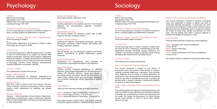AQA A-Level Psychology Specification Code: 7182 Website: http://www.aqa.org.uk/subjects/psychology/as-anda-level/psychology-7181-7182

#### Minimum Overall Entry Requirements

For an A-Level pathway a minimum of 6 GCSEs at Grade 5 or above, including English and Mathematics is required.

#### Minimum Subject Specific Entry Requirements

GCSE Psychology at Grade 5 or GCSE English, Mathematics and Science at Grade 5 where Psychology was not taken at GCSE

#### Course Aims

A-Level Psychology aims to offer the opportunity for a student to learn the fundamentals of the subject and develop skills valued by employers, including critical analysis, independent thinking and research. A student will experience an interesting, diverse and coherent course of study that covers the core areas of Psychology: cognitive, social, biological, developmental, individual differences and research methods.

#### Course Content

The modules that a student will study are:

#### Module 1 Social Influence

Conformity, explanations for obedience, explanations for resistance to social influence, minority influence, social change.

#### Module 2 Memory

Multi store model of memory, short term memory, long term memory, episodic, semantic and procedural memory, working memory model, explanations for forgetting, eye witness testimony.

#### Module 3 Attachment

Caregiver – infant interactions, animal studies of attachment, explanations of attachments, types of attachment, Bowlby's theory of maternal deprivation, the influence of early attachment on adult relationships.

#### Module 4 Psychopathology

Abnormality, phobias, depression, OCD.

#### Module 5 Approaches in Psychology

Learning approaches, the cognitive approach, the biological approach, the psychodynamic approach, humanistic psychology.

#### Module 6 Biopsychology

The nervous system, the endocrine system, fight or flight response, the brain, biological rhythms.

#### Module 7 Research Methods

Experimental methods, observational techniques, self-report techniques, correlations, content analysis, case studies, data handling, descriptive statistics.

#### Module 8 Gender

Sex and gender, sex role stereotypes, atypical chromosome patterns, explanations of gender development, gender dysphoria.

#### Module 9 Schizophrenia

Explanations for schizophrenia, drug therapies for schizophrenia, psychological therapies for schizophrenia.

#### Module 10 Forensics

Offender profiling, biological explanations for offending behaviour, psychological explanations for offending behaviour, dealing with offending behaviour. Issues and debates in psychology: gender and culture, free will and determinism, the nature-nurture debate, holism and reductionism, idiographic and nomothetic approaches, ethical implications of research studies.

#### Examinations

There are three examined modules all of equal weighting:

Paper 1 Introductory Topics in Psychology - 2 hours 33.3% Paper 2 Psychology in Context - 2 hours 33.3% Paper 3 Issues and Options in Psychology - 2 hours 33.3%

Each paper contains multiple choice, short answer, extended writing and research methods or mathematical skills questions.

### Psychology

#### **Syllabus**

AQA A-Level Sociology Specification Code: 7192 Website: https://www.aqa.org.uk/subjects/sociology/as-anda-level/sociology-7191-7192

#### Minimum Overall Entry Requirements

For an A-Level pathway a minimum of 6 GCSEs at Grade 5 or above, including English and Mathematics is required.

#### Minimum Subject Specific Entry Requirements GCSE Humanities subject at Grade 5

### Course Aims

A-Level Sociology aims to inspire a student to reflect upon the world we live in, fostering an understanding of the interrelationships between individuals, groups, institutions and societies. It will enable a student to develop critical thinking and appreciate theoretical and conceptual issues.

#### Course Content

The modules that a student will study are:

#### Paper 1 Education with Theory and Methods

This module introduces a student to key themes of educational policy and practice linking themes to research methods on gender differences in education. They will study class difference and the merits of cultural deprivation on achievement. They will evaluate the role ethnicity and parental influence may play in educational outcomes. A student will develop skills in research methods to evaluate the reliability of research on educational policies.

#### Paper 2 Topics in Sociology Family and Households and The Media

This module explores the methods of sociological enquiry and uses the context of social difference and inequality to develop knowledge and understanding of family and households and the media. This fosters the development of critical thinking around social diversity in terms of social class, gender, ethnicity and age.

#### Paper 3 Crime and Deviance with Theory and Methods

This module challenges a student to examine sociological theory and explanation in relation to pattern and trend of crime both nationally and globally. In what ways can crime and deviance be explained in order to allow society to reduce offending rates and reoffending rates? A student will explore the impact of social class, gender and ethnicity on crime rates. This will develop their skills in research methods to evaluate the reliability of research on crime.

#### Examinations

There are three examined modules all of equal weighting:

Paper 1 Education with Theory and Methods 2 hours 33.3% Paper 2 Topics in Sociology 2 hours 33.3% Paper 3 Crime and Deviance with Theory and Methods 2 hours 33.3%

Each paper consists of questions requiring extended writing.

# Sociology

#### **Syllabus**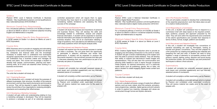Pearson BTEC Level 3 National Certificate in Business Website: http://qualifications.pearson.com/en/qualifications/ btec-nationals/business-2016.html#tab-1

#### Minimum Overall Entry Requirements

For a Vocational pathway a minimum of 6 GCSEs at Grade 4 or above (or Merits or above in vocational subjects) including English and Mathematics is required.

#### Minimum Subject Specific Entry Requirements

6 GCSE passes at Grade 4 or above (or Merits at Level 2 BTEC Equivalent)

#### Course Aims

BTEC Business aims to provide an engaging and stimulating introduction to the world of Business. A student will develop key enterprise and financial skills and the knowledge necessary to enable them to understand how businesses recognise opportunities and build on them to succeed. They will understand how a business makes and manages its money and plans. This course will encourage a student to develop their people, communication, planning and teamworking skills, all of which are essential when working in a business environment.

#### Course Content

The units that a student will study are:

#### Unit 1 Exploring Business

In this introductory unit, a student will study the purposes of different businesses, their structure, the effect of the external environment, and how they need to be dynamic and innovative to survive. They will be required to apply this knowledge to review the activities of two organisations, analysing strengths, drawbacks and evaluating their effectiveness.

#### Unit 2 Developing a Marketing Campaign

A student will gain skills and understanding relating to how a marketing campaign is developed. They will be expected to produce a campaign as part of an externally assessed

controlled assessment which will require them to apply the theories they have learnt to a small business situation, considering realistic limitations and assessing the likely success of the campaign.

#### Unit 3 Personal and Business Finance

A student will study the purpose and importance of personal and business finance. They will develop the skills and knowledge needed to understand, analyse and prepare financial information. A student will be expected to examine financial information and assess its implications for a specific business situation. They will sit an examination detailing a range of questions, from calculations and definitions to longer mark essay questions which will require analysis skills.

#### Unit 8 Recruitment and Selection Process

A student will explore how the recruitment process is carried out within a business. The unit gives them the opportunity to participate in selection interviews and review their performance. A student will be expected to produce the documents required in the recruitment process and take part in interviews assessing their own performance as part of an internally set piece of coursework.

#### Examinations

A student will complete two externally assessed pieces of work (exam and controlled assessment) and two internally assessed pieces of coursework.

A student will complete a written examination set by Pearson.

A student will complete an externally set task which is marked by Pearson and completed under supervised conditions. They will receive material two weeks prior to the exam to prepare with.

#### **Syllabus**

Pearson BTEC Level 3 National Extended Certificate in Creative Digital Media Production Website: http://qualifications.pearson.com/en/qualifications/ btec-nationals/creative-digital-media-production-2016.html

#### Minimum Overall Entry Requirements

For a Vocational pathway a minimum of 6 GCSEs at Grade 4 or above (or Merits or above in vocational subjects) including English and Mathematics is required.

#### Minimum Subject Specific Entry Requirements

6 GCSE passes at Grade 4 or above (or Merits at Level 2 BTEC Equivalent)

#### Course Aims

BTEC Creative Digital Media Production aims to provide an engaging and stimulating introduction to the world of media. A student will gain a broad understanding of the subject and learn the skills to produce media artefacts. They will develop their ability to analyse and deconstruct media images and representations. They will also learn the communication and planning skills needed to work in teams through vocational media projects. An optional introductory unit in a particular media sector such as publishing, games, film or radio, will allow a student to create engaging digital media content and platforms.

#### Course Content

The units that a student will study are:

#### Unit 1 Media Representations

In this unit, a student will study a range of media from different sectors, such as music videos, short film extracts, animation, news programmes, websites, digital games and print adverts in order to explore how meaning, messages and values are constructed through formal and stylistic elements.

#### Unit 4 Pre-Production Portfolio

This unit will enable a student to develop their understanding of the essential preproduction work that takes place as part of a creative media production.

#### Unit 8 Responding to a Commission

In this unit, a student will understand how to respond to a commission brief with ideas based on the required content, style, audience, purpose and approach proposed by the client. They will work within the requirements and constraints of the client's specifications and consider their response in terms of ethos, format, budget, platform and duration.

#### Unit 8 Recruitment and Selection Process

In this unit, a student will investigate how conventions of narrative storytelling are used by filmmakers, looking at formats and generic conventions. They will then prepare for a film production by creating and gathering the materials and preparing the cast and crew. A student will need to bring together a range of elements to successfully produce their product: camera, lighting, acting, direction and sound during the production phase, and successfully use post-production techniques to deliver a final outcome.

#### Examinations

A student will complete two externally assessed pieces of work (exam and controlled assessment) and two internally assessed pieces of coursework.

A student will complete a written examination set by Pearson.

A student will complete an externally set task which is marked by Pearson and completed under supervised conditions. They will receive material two weeks prior to the exam to prepare with.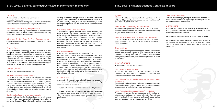

Pearson BTEC Level 3 National Certificate in Information Technology Website: http://qualifications.pearson.com/en/qualifications/ btec-nationals/information-technology-2016.html#tab-1

#### Minimum Overall Entry Requirements

For a Vocational pathway a minimum of 6 GCSEs at Grade 4 or above (or Merits or above in vocational subjects) including English and Mathematics is required.

#### Minimum Subject Specific Entry Requirements

6 GCSE passes at Grade 4 or above (or Merits at Level 2 BTEC Equivalent)

#### Course Aims

BTEC Information Technology (IT) aims to allow a student to explore how the use of computers is involved in industry, commerce, the arts and elsewhere. A student will learn about aspects of IT systems architecture, human factors, project management and the general ability to use computers. They will investigate how businesses are implementing IT strategies to manage and process data both to support business processes and to deliver new opportunities.

#### Course Content

The units that a student will study are:

#### Unit 1 Information Technology Systems

In this unit a student will explore the relationships between the hardware and software that form an IT system, and the way that systems work individually and together, as well as the relationship between the user and the system. They will examine issues related to the use of IT systems and the impact that they have on organisations and individuals. This unit will give a student a fundamental and synoptic understanding of all areas of IT.

#### Unit 2 Creating Systems to Manage Information

A student will examine the structure of data and its origins, and how an efficient data design follows through to an effective and useful database. They will examine a given scenario and develop an effective design solution to produce a database system. A student will then test their solution to ensure that it works correctly. Finally, they will evaluate each stage of the development process and the effectiveness of their database solution.

#### Unit 3 Using Social Media in Business

A student will explore different social media websites, the ways in which they can be used and the potential pitfalls when using them for business purposes. They will develop a plan to use social media strategies for business purposes to achieve specific aims and objectives. A student will then implement the plan, developing and posting content and interacting with others. Finally, they will collect data on the business use of social media and review the effectiveness of their efforts.

#### Unit 5 Data Modelling

A student will investigate the fundamentals of the decision-making process. They will find out how using data modelling provides the computational ability to compare consequences, and determine a preferred course of action. A student will develop the skills and techniques necessary to create complex spreadsheets in order to produce accurate information that informs decision making. They will examine a scenario and then design, develop and test a spreadsheet; review the spreadsheet and make refinements based on user feedback, providing an evaluation of the effectiveness of the alternatives produced.

#### Examinations

A student will complete two externally assessed pieces of work (exam and controlled assessment) and two internally assessed pieces of coursework.

A student will complete a written examination set by Pearson.

A student will complete an externally set task which is marked by Pearson and completed under supervised conditions. They will receive material two weeks prior to the exam to prepare with.

#### **Syllabus**

Pearson BTEC Level 3 National Extended Certificate in Sport Website: http://qualifications.pearson.com/en/qualifications/ btec-nationals/sport-2016.html

#### Minimum Overall Entry Requirements

For a Vocational pathway a minimum of 6 GCSEs at Grade 4 or above (or Merits or above in vocational subjects) including English and Mathematics is required.

#### Minimum Subject Specific Entry Requirements

6 GCSE passes at Grade 4 or above (or Merits at Level 2 BTEC Equivalent) including GCSE PE at Grade 4 or Level 2 BTEC Sport Merit

#### Course Aims

BTEC Sport aims to provide the opportunity for a student to explore many different aspects of sport. The subject will allow a student to develop their skills in a practical and classroom setting in preparation for a job in sport or higher level of study at university.

#### Course Content

The units that a student will study are:

#### Unit 1 Anatomy and Physiology

A student will explore how the skeletal, muscular, cardiovascular and respiratory systems function and the fundamentals of the energy systems.

#### Unit 2 Fitness Training and Programming for Health, Sport and Well-being

A student will explore client screening and lifestyle assessment, fitness training methods and fitness programming to support improvements in a client's health and well-being.

#### Unit 3 Professional Development in the Sports Industry

A student will explore the knowledge and skills required for different career pathways in the sports industry. They will take part in, and reflect on, a personal skills audit, career action plan and practical interview assessment activities.

#### Unit 6 Sports Psychology

This unit covers the psychological dimensions of sport and introduces a student to the psychological techniques that can be used to enhance performance.

#### Examinations

A student will complete two externally assessed pieces of work (exam and controlled assessment) and two internally assessed pieces of coursework.

A student will complete a written examination set by Pearson.

A student will complete an externally set task which is marked by Pearson and completed under supervised conditions. They will receive a case study one week prior to the exam to prepare with.